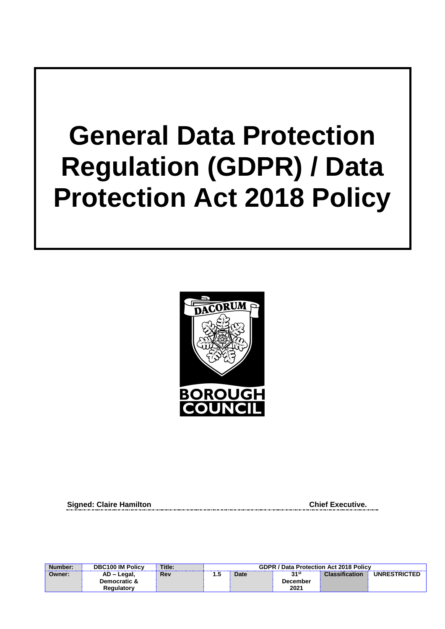# **General Data Protection Regulation (GDPR) / Data Protection Act 2018 Policy**



**Signed: Claire Hamilton Chief Executive.** 

| Number: | <b>DBC100 IM Policy</b> | Title: | <b>GDPR / Data Protection Act 2018 Policy</b> |      |                 |                       |                     |
|---------|-------------------------|--------|-----------------------------------------------|------|-----------------|-----------------------|---------------------|
| Owner:  | AD – Legal,             | Rev    | נ. ו                                          | Date | 21st            | <b>Classification</b> | <b>UNRESTRICTED</b> |
|         | Democratic &            |        |                                               |      | <b>December</b> |                       |                     |
|         | Regulatory              |        |                                               |      | 2021            |                       |                     |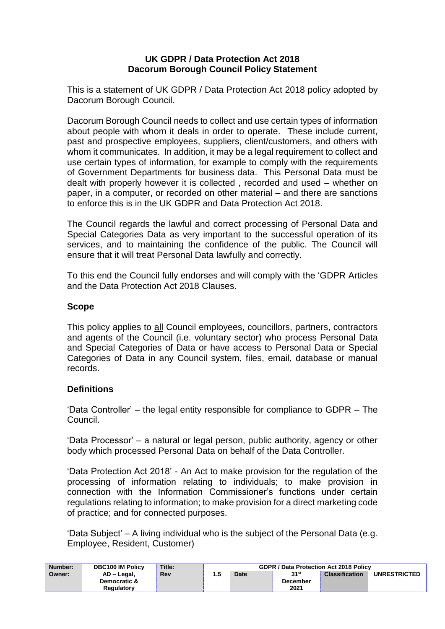#### **UK GDPR / Data Protection Act 2018 Dacorum Borough Council Policy Statement**

This is a statement of UK GDPR / Data Protection Act 2018 policy adopted by Dacorum Borough Council.

Dacorum Borough Council needs to collect and use certain types of information about people with whom it deals in order to operate. These include current, past and prospective employees, suppliers, client/customers, and others with whom it communicates. In addition, it may be a legal requirement to collect and use certain types of information, for example to comply with the requirements of Government Departments for business data. This Personal Data must be dealt with properly however it is collected , recorded and used – whether on paper, in a computer, or recorded on other material – and there are sanctions to enforce this is in the UK GDPR and Data Protection Act 2018.

The Council regards the lawful and correct processing of Personal Data and Special Categories Data as very important to the successful operation of its services, and to maintaining the confidence of the public. The Council will ensure that it will treat Personal Data lawfully and correctly.

To this end the Council fully endorses and will comply with the 'GDPR Articles and the Data Protection Act 2018 Clauses.

#### **Scope**

This policy applies to all Council employees, councillors, partners, contractors and agents of the Council (i.e. voluntary sector) who process Personal Data and Special Categories of Data or have access to Personal Data or Special Categories of Data in any Council system, files, email, database or manual records.

#### **Definitions**

'Data Controller' – the legal entity responsible for compliance to GDPR – The Council.

'Data Processor' – a natural or legal person, public authority, agency or other body which processed Personal Data on behalf of the Data Controller.

'Data Protection Act 2018' - An Act to make provision for the regulation of the processing of information relating to individuals; to make provision in connection with the Information Commissioner's functions under certain regulations relating to information; to make provision for a direct marketing code of practice; and for connected purposes.

'Data Subject' – A living individual who is the subject of the Personal Data (e.g. Employee, Resident, Customer)

| Number: | <b>DBC100 IM Policy</b> | Title: | <b>GDPR / Data Protection Act 2018 Policy</b> |  |          |  |                     |
|---------|-------------------------|--------|-----------------------------------------------|--|----------|--|---------------------|
| Owner:  | AD - Legal,             | Rev    | 21st<br><b>Classification</b><br>Date<br>1.0  |  |          |  | <b>UNRESTRICTED</b> |
|         | Democratic &            |        |                                               |  | December |  |                     |
|         | Reaulatorv              |        |                                               |  | 2021     |  |                     |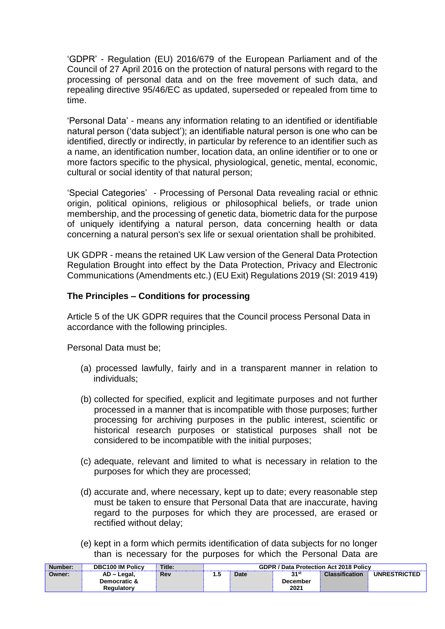'GDPR' - Regulation (EU) 2016/679 of the European Parliament and of the Council of 27 April 2016 on the protection of natural persons with regard to the processing of personal data and on the free movement of such data, and repealing directive 95/46/EC as updated, superseded or repealed from time to time.

'Personal Data' - means any information relating to an identified or identifiable natural person ('data subject'); an identifiable natural person is one who can be identified, directly or indirectly, in particular by reference to an identifier such as a name, an identification number, location data, an online identifier or to one or more factors specific to the physical, physiological, genetic, mental, economic, cultural or social identity of that natural person;

'Special Categories' - Processing of Personal Data revealing racial or ethnic origin, political opinions, religious or philosophical beliefs, or trade union membership, and the processing of genetic data, biometric data for the purpose of uniquely identifying a natural person, data concerning health or data concerning a natural person's sex life or sexual orientation shall be prohibited.

UK GDPR - means the retained UK Law version of the General Data Protection Regulation Brought into effect by the Data Protection, Privacy and Electronic Communications (Amendments etc.) (EU Exit) Regulations 2019 (SI: 2019 419)

#### **The Principles – Conditions for processing**

Article 5 of the UK GDPR requires that the Council process Personal Data in accordance with the following principles.

Personal Data must be;

- (a) processed lawfully, fairly and in a transparent manner in relation to individuals;
- (b) collected for specified, explicit and legitimate purposes and not further processed in a manner that is incompatible with those purposes; further processing for archiving purposes in the public interest, scientific or historical research purposes or statistical purposes shall not be considered to be incompatible with the initial purposes;
- (c) adequate, relevant and limited to what is necessary in relation to the purposes for which they are processed;
- (d) accurate and, where necessary, kept up to date; every reasonable step must be taken to ensure that Personal Data that are inaccurate, having regard to the purposes for which they are processed, are erased or rectified without delay;
- (e) kept in a form which permits identification of data subjects for no longer than is necessary for the purposes for which the Personal Data are

| Number: | <b>DBC100 IM Policy</b> | Title: | <b>GDPR / Data Protection Act 2018 Policy</b> |             |          |                       |                     |
|---------|-------------------------|--------|-----------------------------------------------|-------------|----------|-----------------------|---------------------|
| Owner:  | AD - Legal,             | Rev    | .                                             | <b>Date</b> | হ1st     | <b>Classification</b> | <b>UNRESTRICTED</b> |
|         | Democratic &            |        |                                               |             | December |                       |                     |
|         | Reaulatorv              |        |                                               |             | 2021     |                       |                     |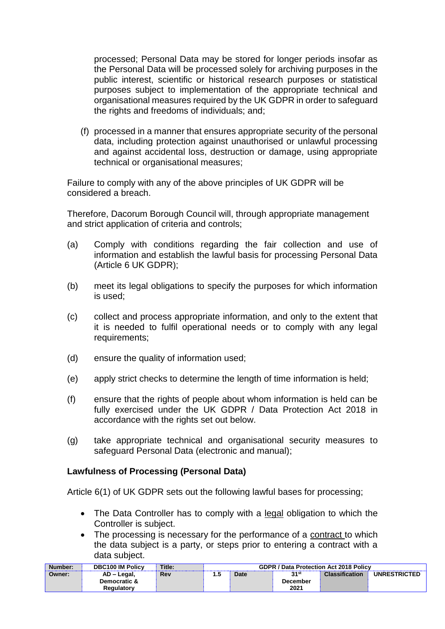processed; Personal Data may be stored for longer periods insofar as the Personal Data will be processed solely for archiving purposes in the public interest, scientific or historical research purposes or statistical purposes subject to implementation of the appropriate technical and organisational measures required by the UK GDPR in order to safeguard the rights and freedoms of individuals; and;

(f) processed in a manner that ensures appropriate security of the personal data, including protection against unauthorised or unlawful processing and against accidental loss, destruction or damage, using appropriate technical or organisational measures;

Failure to comply with any of the above principles of UK GDPR will be considered a breach.

Therefore, Dacorum Borough Council will, through appropriate management and strict application of criteria and controls;

- (a) Comply with conditions regarding the fair collection and use of information and establish the lawful basis for processing Personal Data (Article 6 UK GDPR);
- (b) meet its legal obligations to specify the purposes for which information is used;
- (c) collect and process appropriate information, and only to the extent that it is needed to fulfil operational needs or to comply with any legal requirements;
- (d) ensure the quality of information used;
- (e) apply strict checks to determine the length of time information is held;
- (f) ensure that the rights of people about whom information is held can be fully exercised under the UK GDPR / Data Protection Act 2018 in accordance with the rights set out below.
- (g) take appropriate technical and organisational security measures to safeguard Personal Data (electronic and manual);

#### **Lawfulness of Processing (Personal Data)**

Article 6(1) of UK GDPR sets out the following lawful bases for processing;

- The Data Controller has to comply with a legal obligation to which the Controller is subject.
- The processing is necessary for the performance of a contract to which the data subject is a party, or steps prior to entering a contract with a data subject.

| Number: | <b>DBC100 IM Policy</b> | Title: | <b>GDPR / Data Protection Act 2018 Policy</b> |  |          |  |                     |
|---------|-------------------------|--------|-----------------------------------------------|--|----------|--|---------------------|
| Owner:  | AD - Legal,             | Rev    | 24st<br><b>Classification</b><br>Date<br>. כ. |  |          |  | <b>UNRESTRICTED</b> |
|         | Democratic &            |        |                                               |  | December |  |                     |
|         | Reaulatorv              |        |                                               |  | 2021     |  |                     |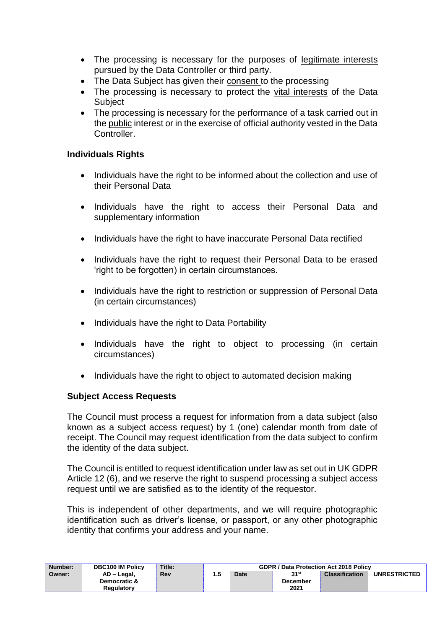- The processing is necessary for the purposes of legitimate interests pursued by the Data Controller or third party.
- The Data Subject has given their consent to the processing
- The processing is necessary to protect the vital interests of the Data **Subject**
- The processing is necessary for the performance of a task carried out in the public interest or in the exercise of official authority vested in the Data Controller.

#### **Individuals Rights**

- Individuals have the right to be informed about the collection and use of their Personal Data
- Individuals have the right to access their Personal Data and supplementary information
- Individuals have the right to have inaccurate Personal Data rectified
- Individuals have the right to request their Personal Data to be erased 'right to be forgotten) in certain circumstances.
- Individuals have the right to restriction or suppression of Personal Data (in certain circumstances)
- Individuals have the right to Data Portability
- Individuals have the right to object to processing (in certain circumstances)
- Individuals have the right to object to automated decision making

#### **Subject Access Requests**

The Council must process a request for information from a data subject (also known as a subject access request) by 1 (one) calendar month from date of receipt. The Council may request identification from the data subject to confirm the identity of the data subject.

The Council is entitled to request identification under law as set out in UK GDPR Article 12 (6), and we reserve the right to suspend processing a subject access request until we are satisfied as to the identity of the requestor.

This is independent of other departments, and we will require photographic identification such as driver's license, or passport, or any other photographic identity that confirms your address and your name.

| Number: | <b>DBC100 IM Policy</b> | Title: | <b>GDPR / Data Protection Act 2018 Policy</b> |      |                 |                       |                     |
|---------|-------------------------|--------|-----------------------------------------------|------|-----------------|-----------------------|---------------------|
| Owner:  | AD - Legal,             | Rev    | כ. ו                                          | Date | 21st            | <b>Classification</b> | <b>UNRESTRICTED</b> |
|         | Democratic &            |        |                                               |      | <b>December</b> |                       |                     |
|         | <b>Regulatory</b>       |        |                                               |      | 2021            |                       |                     |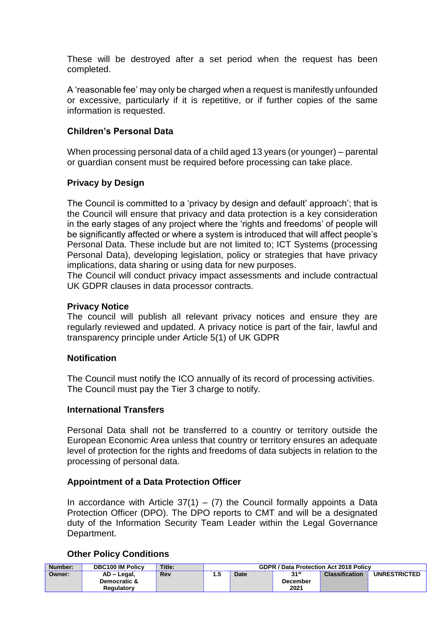These will be destroyed after a set period when the request has been completed.

A 'reasonable fee' may only be charged when a request is manifestly unfounded or excessive, particularly if it is repetitive, or if further copies of the same information is requested.

#### **Children's Personal Data**

When processing personal data of a child aged 13 years (or younger) – parental or guardian consent must be required before processing can take place.

#### **Privacy by Design**

The Council is committed to a 'privacy by design and default' approach'; that is the Council will ensure that privacy and data protection is a key consideration in the early stages of any project where the 'rights and freedoms' of people will be significantly affected or where a system is introduced that will affect people's Personal Data. These include but are not limited to; ICT Systems (processing Personal Data), developing legislation, policy or strategies that have privacy implications, data sharing or using data for new purposes.

The Council will conduct privacy impact assessments and include contractual UK GDPR clauses in data processor contracts.

#### **Privacy Notice**

The council will publish all relevant privacy notices and ensure they are regularly reviewed and updated. A privacy notice is part of the fair, lawful and transparency principle under Article 5(1) of UK GDPR

#### **Notification**

The Council must notify the ICO annually of its record of processing activities. The Council must pay the Tier 3 charge to notify.

#### **International Transfers**

Personal Data shall not be transferred to a country or territory outside the European Economic Area unless that country or territory ensures an adequate level of protection for the rights and freedoms of data subjects in relation to the processing of personal data.

#### **Appointment of a Data Protection Officer**

In accordance with Article  $37(1) - (7)$  the Council formally appoints a Data Protection Officer (DPO). The DPO reports to CMT and will be a designated duty of the Information Security Team Leader within the Legal Governance Department.

#### **Other Policy Conditions**

| Number: | <b>DBC100 IM Policy</b> | Title: | <b>GDPR / Data Protection Act 2018 Policy</b> |      |          |                       |                     |
|---------|-------------------------|--------|-----------------------------------------------|------|----------|-----------------------|---------------------|
| Owner:  | AD - Legal,             | Rev    | I.J                                           | Date | วุ 1st   | <b>Classification</b> | <b>UNRESTRICTED</b> |
|         | Democratic &            |        |                                               |      | December |                       |                     |
|         | Reaulatorv              |        |                                               |      | 2021     |                       |                     |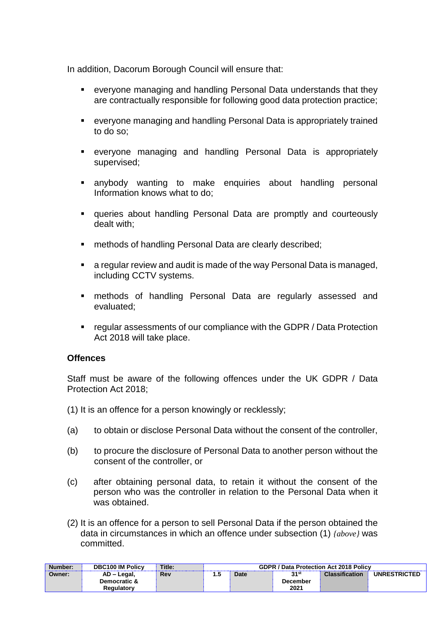In addition, Dacorum Borough Council will ensure that:

- everyone managing and handling Personal Data understands that they are contractually responsible for following good data protection practice;
- everyone managing and handling Personal Data is appropriately trained to do so;
- everyone managing and handling Personal Data is appropriately supervised;
- anybody wanting to make enquiries about handling personal Information knows what to do;
- queries about handling Personal Data are promptly and courteously dealt with;
- methods of handling Personal Data are clearly described:
- a regular review and audit is made of the way Personal Data is managed, including CCTV systems.
- methods of handling Personal Data are regularly assessed and evaluated;
- regular assessments of our compliance with the GDPR / Data Protection Act 2018 will take place.

#### **Offences**

Staff must be aware of the following offences under the UK GDPR / Data Protection Act 2018;

- (1) It is an offence for a person knowingly or recklessly;
- (a) to obtain or disclose Personal Data without the consent of the controller,
- (b) to procure the disclosure of Personal Data to another person without the consent of the controller, or
- (c) after obtaining personal data, to retain it without the consent of the person who was the controller in relation to the Personal Data when it was obtained.
- (2) It is an offence for a person to sell Personal Data if the person obtained the data in circumstances in which an offence under subsection (1) *{above}* was committed.

| Number: | <b>DBC100 IM Policy</b> | Title: | <b>GDPR / Data Protection Act 2018 Policy</b> |             |          |                       |                     |
|---------|-------------------------|--------|-----------------------------------------------|-------------|----------|-----------------------|---------------------|
| Owner:  | AD – Legal,             | Rev    | כ.ו                                           | <b>Date</b> | 31st     | <b>Classification</b> | <b>UNRESTRICTED</b> |
|         | Democratic &            |        |                                               |             | December |                       |                     |
|         | <b>Regulatory</b>       |        |                                               |             | 2021     |                       |                     |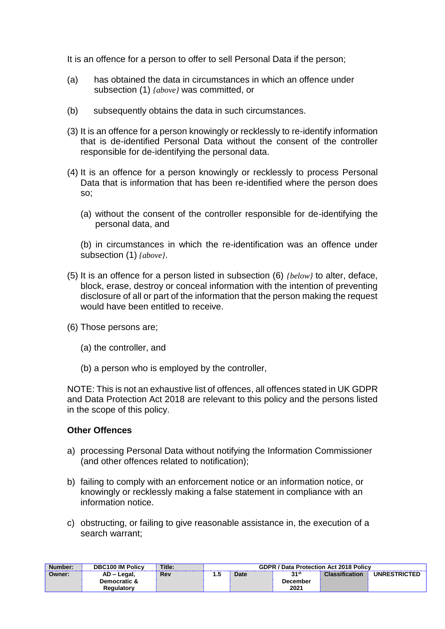It is an offence for a person to offer to sell Personal Data if the person;

- (a) has obtained the data in circumstances in which an offence under subsection (1) *{above}* was committed, or
- (b) subsequently obtains the data in such circumstances.
- (3) It is an offence for a person knowingly or recklessly to re-identify information that is de-identified Personal Data without the consent of the controller responsible for de-identifying the personal data.
- (4) It is an offence for a person knowingly or recklessly to process Personal Data that is information that has been re-identified where the person does so;
	- (a) without the consent of the controller responsible for de-identifying the personal data, and

(b) in circumstances in which the re-identification was an offence under subsection (1) *{above}*.

- (5) It is an offence for a person listed in subsection (6) *{below}* to alter, deface, block, erase, destroy or conceal information with the intention of preventing disclosure of all or part of the information that the person making the request would have been entitled to receive.
- (6) Those persons are;
	- (a) the controller, and
	- (b) a person who is employed by the controller,

NOTE: This is not an exhaustive list of offences, all offences stated in UK GDPR and Data Protection Act 2018 are relevant to this policy and the persons listed in the scope of this policy.

#### **Other Offences**

- a) processing Personal Data without notifying the Information Commissioner (and other offences related to notification);
- b) failing to comply with an enforcement notice or an information notice, or knowingly or recklessly making a false statement in compliance with an information notice.
- c) obstructing, or failing to give reasonable assistance in, the execution of a search warrant;

| Number: | <b>DBC100 IM Policy</b> | Title:     | <b>GDPR / Data Protection Act 2018 Policy</b> |             |          |                       |                     |
|---------|-------------------------|------------|-----------------------------------------------|-------------|----------|-----------------------|---------------------|
| Owner:  | AD - Legal,             | <b>Rev</b> |                                               | <b>Date</b> | 21st     | <b>Classification</b> | <b>UNRESTRICTED</b> |
|         | Democratic &            |            |                                               |             | December |                       |                     |
|         | Reaulatorv              |            |                                               |             | 2021     |                       |                     |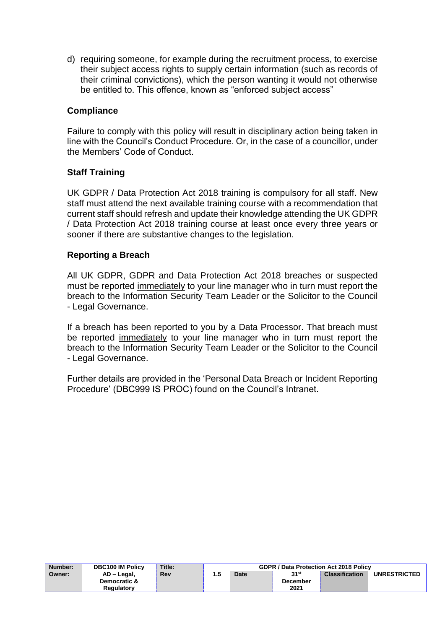d) requiring someone, for example during the recruitment process, to exercise their subject access rights to supply certain information (such as records of their criminal convictions), which the person wanting it would not otherwise be entitled to. This offence, known as "enforced subject access"

#### **Compliance**

Failure to comply with this policy will result in disciplinary action being taken in line with the Council's Conduct Procedure. Or, in the case of a councillor, under the Members' Code of Conduct.

#### **Staff Training**

UK GDPR / Data Protection Act 2018 training is compulsory for all staff. New staff must attend the next available training course with a recommendation that current staff should refresh and update their knowledge attending the UK GDPR / Data Protection Act 2018 training course at least once every three years or sooner if there are substantive changes to the legislation.

#### **Reporting a Breach**

All UK GDPR, GDPR and Data Protection Act 2018 breaches or suspected must be reported immediately to your line manager who in turn must report the breach to the Information Security Team Leader or the Solicitor to the Council - Legal Governance.

If a breach has been reported to you by a Data Processor. That breach must be reported immediately to your line manager who in turn must report the breach to the Information Security Team Leader or the Solicitor to the Council - Legal Governance.

Further details are provided in the 'Personal Data Breach or Incident Reporting Procedure' (DBC999 IS PROC) found on the Council's Intranet.

| Number: | <b>DBC100 IM Policy</b> | Title:     | <b>GDPR / Data Protection Act 2018 Policy</b> |      |          |                       |                     |
|---------|-------------------------|------------|-----------------------------------------------|------|----------|-----------------------|---------------------|
| Owner:  | AD - Legal,             | <b>Rev</b> | 1.5                                           | Date | วุ 1st   | <b>Classification</b> | <b>UNRESTRICTED</b> |
|         | Democratic &            |            |                                               |      | December |                       |                     |
|         | <b>Regulatory</b>       |            |                                               |      | 2021     |                       |                     |